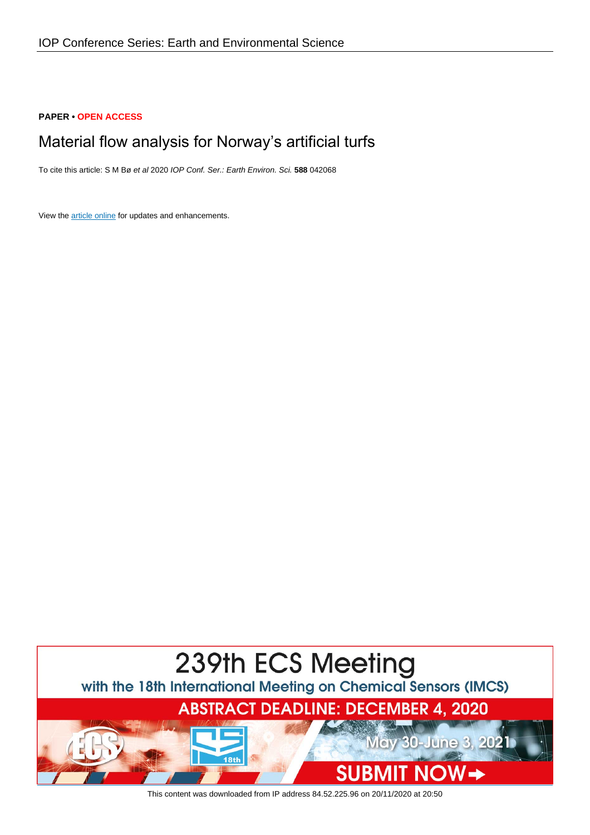## **PAPER • OPEN ACCESS**

# Material flow analysis for Norway's artificial turfs

To cite this article: S M Bø et al 2020 IOP Conf. Ser.: Earth Environ. Sci. **588** 042068

View the **[article online](https://doi.org/10.1088/1755-1315/588/4/042068)** for updates and enhancements.



This content was downloaded from IP address 84.52.225.96 on 20/11/2020 at 20:50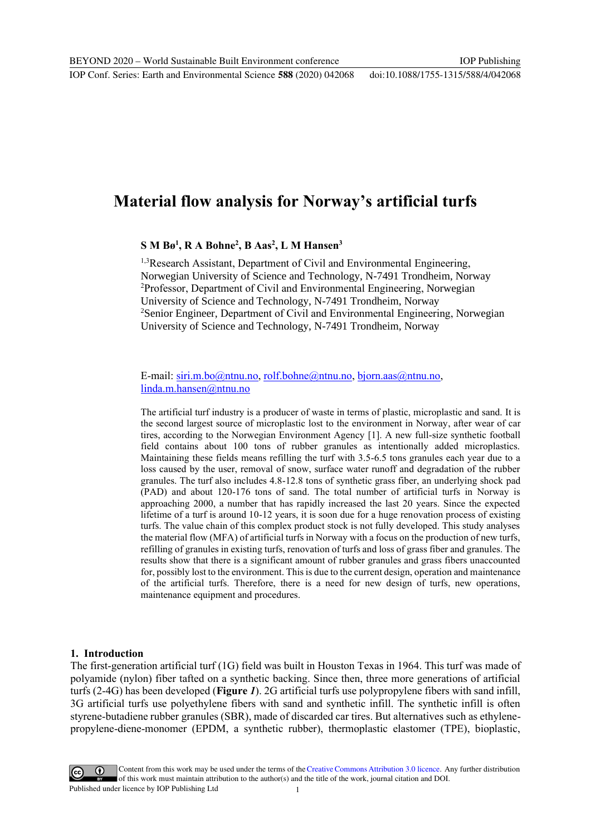# **Material flow analysis for Norway's artificial turfs**

# **S M Bø<sup>1</sup> , R A Bohne<sup>2</sup> , B Aas<sup>2</sup> , L M Hansen<sup>3</sup>**

<sup>1,3</sup>Research Assistant, Department of Civil and Environmental Engineering, Norwegian University of Science and Technology, N-7491 Trondheim, Norway <sup>2</sup>Professor, Department of Civil and Environmental Engineering, Norwegian University of Science and Technology, N-7491 Trondheim, Norway <sup>2</sup>Senior Engineer, Department of Civil and Environmental Engineering, Norwegian University of Science and Technology, N-7491 Trondheim, Norway

E-mail: [siri.m.bo@ntnu.no,](mailto:siri.m.bo@ntnu.no) [rolf.bohne@ntnu.no,](mailto:rolf.bohne@ntnu.no) [bjorn.aas@ntnu.no,](mailto:bjorn.aas@ntnu.no) [linda.m.hansen@ntnu.no](mailto:linda.m.hansen@ntnu.no)

The artificial turf industry is a producer of waste in terms of plastic, microplastic and sand. It is the second largest source of microplastic lost to the environment in Norway, after wear of car tires, according to the Norwegian Environment Agency [1]. A new full-size synthetic football field contains about 100 tons of rubber granules as intentionally added microplastics. Maintaining these fields means refilling the turf with 3.5-6.5 tons granules each year due to a loss caused by the user, removal of snow, surface water runoff and degradation of the rubber granules. The turf also includes 4.8-12.8 tons of synthetic grass fiber, an underlying shock pad (PAD) and about 120-176 tons of sand. The total number of artificial turfs in Norway is approaching 2000, a number that has rapidly increased the last 20 years. Since the expected lifetime of a turf is around 10-12 years, it is soon due for a huge renovation process of existing turfs. The value chain of this complex product stock is not fully developed. This study analyses the material flow (MFA) of artificial turfs in Norway with a focus on the production of new turfs, refilling of granules in existing turfs, renovation of turfs and loss of grass fiber and granules. The results show that there is a significant amount of rubber granules and grass fibers unaccounted for, possibly lost to the environment. This is due to the current design, operation and maintenance of the artificial turfs. Therefore, there is a need for new design of turfs, new operations, maintenance equipment and procedures.

## **1. Introduction**

The first-generation artificial turf (1G) field was built in Houston Texas in 1964. This turf was made of polyamide (nylon) fiber tafted on a synthetic backing. Since then, three more generations of artificial turfs (2-4G) has been developed (**[Figure](#page-2-0)** *1*). 2G artificial turfs use polypropylene fibers with sand infill, 3G artificial turfs use polyethylene fibers with sand and synthetic infill. The synthetic infill is often styrene-butadiene rubber granules (SBR), made of discarded car tires. But alternatives such as ethylenepropylene-diene-monomer (EPDM, a synthetic rubber), thermoplastic elastomer (TPE), bioplastic,

Content from this work may be used under the terms of theCreative Commons Attribution 3.0 licence. Any further distribution of this work must maintain attribution to the author(s) and the title of the work, journal citation and DOI.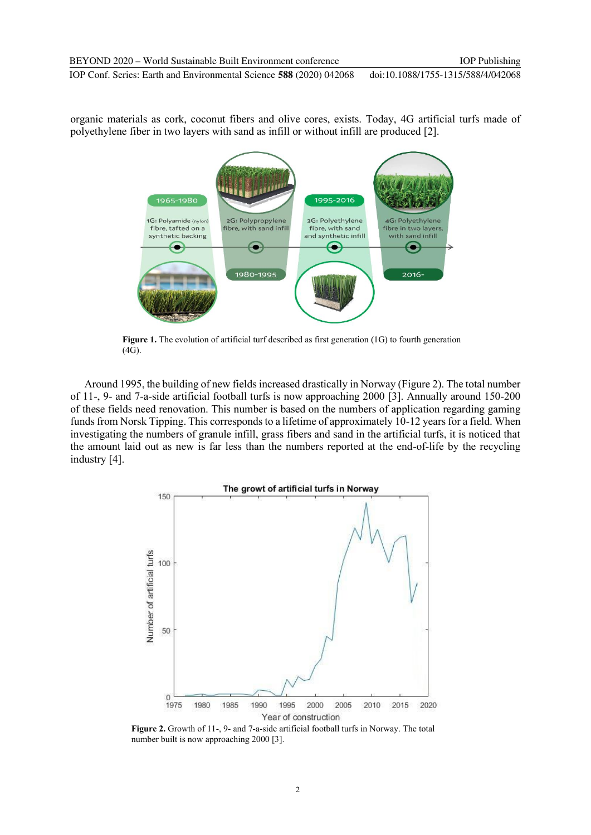organic materials as cork, coconut fibers and olive cores, exists. Today, 4G artificial turfs made of polyethylene fiber in two layers with sand as infill or without infill are produced [2].



<span id="page-2-0"></span>**Figure 1.** The evolution of artificial turf described as first generation (1G) to fourth generation (4G).

Around 1995, the building of new fields increased drastically in Norway [\(Figure 2\)](#page-2-1). The total number of 11-, 9- and 7-a-side artificial football turfs is now approaching 2000 [3]. Annually around 150-200 of these fields need renovation. This number is based on the numbers of application regarding gaming funds from Norsk Tipping. This corresponds to a lifetime of approximately 10-12 years for a field. When investigating the numbers of granule infill, grass fibers and sand in the artificial turfs, it is noticed that the amount laid out as new is far less than the numbers reported at the end-of-life by the recycling industry [4].



<span id="page-2-1"></span>**Figure 2.** Growth of 11-, 9- and 7-a-side artificial football turfs in Norway. The total number built is now approaching 2000 [3].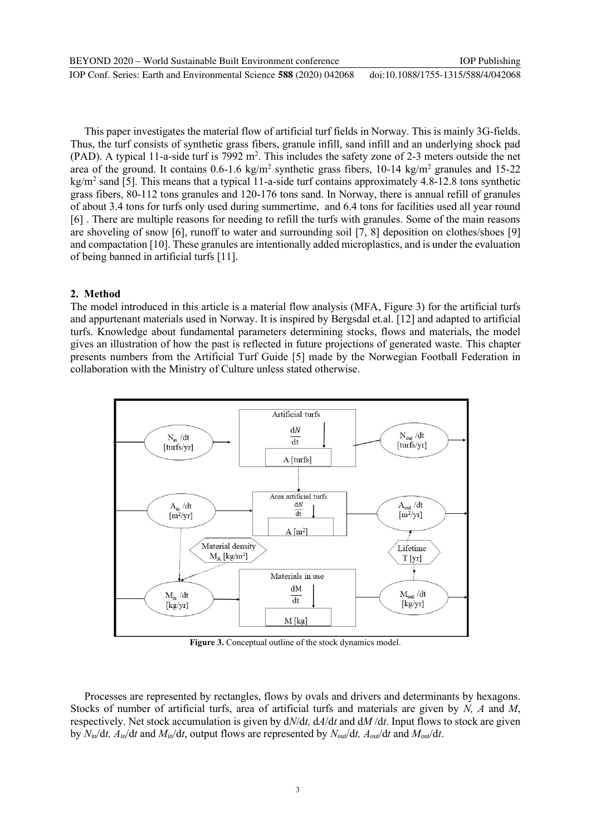This paper investigates the material flow of artificial turf fields in Norway. This is mainly 3G-fields. Thus, the turf consists of synthetic grass fibers, granule infill, sand infill and an underlying shock pad (PAD). A typical 11-a-side turf is 7992 m<sup>2</sup>. This includes the safety zone of 2-3 meters outside the net area of the ground. It contains  $0.6$ -1.6 kg/m<sup>2</sup> synthetic grass fibers, 10-14 kg/m<sup>2</sup> granules and 15-22 kg/m<sup>2</sup> sand [5]. This means that a typical 11-a-side turf contains approximately 4.8-12.8 tons synthetic grass fibers, 80-112 tons granules and 120-176 tons sand. In Norway, there is annual refill of granules of about 3.4 tons for turfs only used during summertime, and 6.4 tons for facilities used all year round [6] . There are multiple reasons for needing to refill the turfs with granules. Some of the main reasons are shoveling of snow [6], runoff to water and surrounding soil [7, 8] deposition on clothes/shoes [9] and compactation [10]. These granules are intentionally added microplastics, and is under the evaluation of being banned in artificial turfs [11].

# **2. Method**

The model introduced in this article is a material flow analysis (MFA, [Figure 3\)](#page-3-0) for the artificial turfs and appurtenant materials used in Norway. It is inspired by Bergsdal et.al. [12] and adapted to artificial turfs. Knowledge about fundamental parameters determining stocks, flows and materials, the model gives an illustration of how the past is reflected in future projections of generated waste. This chapter presents numbers from the Artificial Turf Guide [5] made by the Norwegian Football Federation in collaboration with the Ministry of Culture unless stated otherwise.



Figure 3. Conceptual outline of the stock dynamics model.

<span id="page-3-0"></span>Processes are represented by rectangles, flows by ovals and drivers and determinants by hexagons. Stocks of number of artificial turfs, area of artificial turfs and materials are given by *N, A* and *M*, respectively. Net stock accumulation is given by d*N*/d*t,* d*A*/d*t* and d*M* /d*t*. Input flows to stock are given by  $N_{in}/dt$ ,  $A_{in}/dt$  and  $M_{in}/dt$ , output flows are represented by  $N_{out}/dt$ ,  $A_{out}/dt$  and  $M_{out}/dt$ .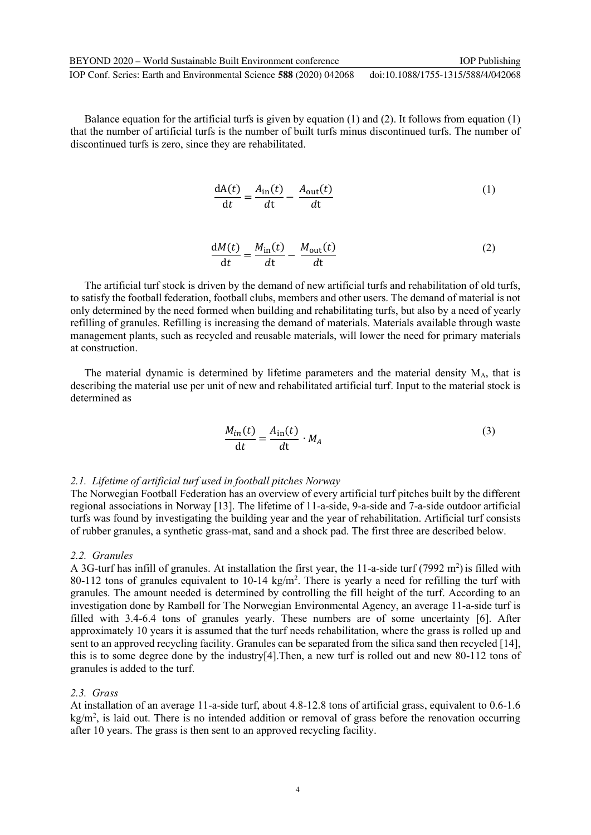IOP Conf. Series: Earth and Environmental Science **588** (2020) 042068 doi:10.1088/1755-1315/588/4/042068

Balance equation for the artificial turfs is given by equation  $(1)$  and  $(2)$ . It follows from equation  $(1)$ that the number of artificial turfs is the number of built turfs minus discontinued turfs. The number of discontinued turfs is zero, since they are rehabilitated.

<span id="page-4-0"></span>
$$
\frac{dA(t)}{dt} = \frac{A_{in}(t)}{dt} - \frac{A_{out}(t)}{dt}
$$
 (1)

<span id="page-4-1"></span>
$$
\frac{dM(t)}{dt} = \frac{M_{\text{in}}(t)}{dt} - \frac{M_{\text{out}}(t)}{dt} \tag{2}
$$

The artificial turf stock is driven by the demand of new artificial turfs and rehabilitation of old turfs, to satisfy the football federation, football clubs, members and other users. The demand of material is not only determined by the need formed when building and rehabilitating turfs, but also by a need of yearly refilling of granules. Refilling is increasing the demand of materials. Materials available through waste management plants, such as recycled and reusable materials, will lower the need for primary materials at construction.

The material dynamic is determined by lifetime parameters and the material density MA, that is describing the material use per unit of new and rehabilitated artificial turf. Input to the material stock is determined as

$$
\frac{M_{in}(t)}{dt} = \frac{A_{in}(t)}{dt} \cdot M_A
$$
 (3)

#### *2.1. Lifetime of artificial turf used in football pitches Norway*

The Norwegian Football Federation has an overview of every artificial turf pitches built by the different regional associations in Norway [13]. The lifetime of 11-a-side, 9-a-side and 7-a-side outdoor artificial turfs was found by investigating the building year and the year of rehabilitation. Artificial turf consists of rubber granules, a synthetic grass-mat, sand and a shock pad. The first three are described below.

#### *2.2. Granules*

A 3G-turf has infill of granules. At installation the first year, the 11-a-side turf (7992 m<sup>2</sup>) is filled with 80-112 tons of granules equivalent to  $10-14 \text{ kg/m}^2$ . There is yearly a need for refilling the turf with granules. The amount needed is determined by controlling the fill height of the turf. According to an investigation done by Rambøll for The Norwegian Environmental Agency, an average 11-a-side turf is filled with 3.4-6.4 tons of granules yearly. These numbers are of some uncertainty [6]. After approximately 10 years it is assumed that the turf needs rehabilitation, where the grass is rolled up and sent to an approved recycling facility. Granules can be separated from the silica sand then recycled [14], this is to some degree done by the industry[4].Then, a new turf is rolled out and new 80-112 tons of granules is added to the turf.

#### *2.3. Grass*

At installation of an average 11-a-side turf, about 4.8-12.8 tons of artificial grass, equivalent to 0.6-1.6  $kg/m<sup>2</sup>$ , is laid out. There is no intended addition or removal of grass before the renovation occurring after 10 years. The grass is then sent to an approved recycling facility.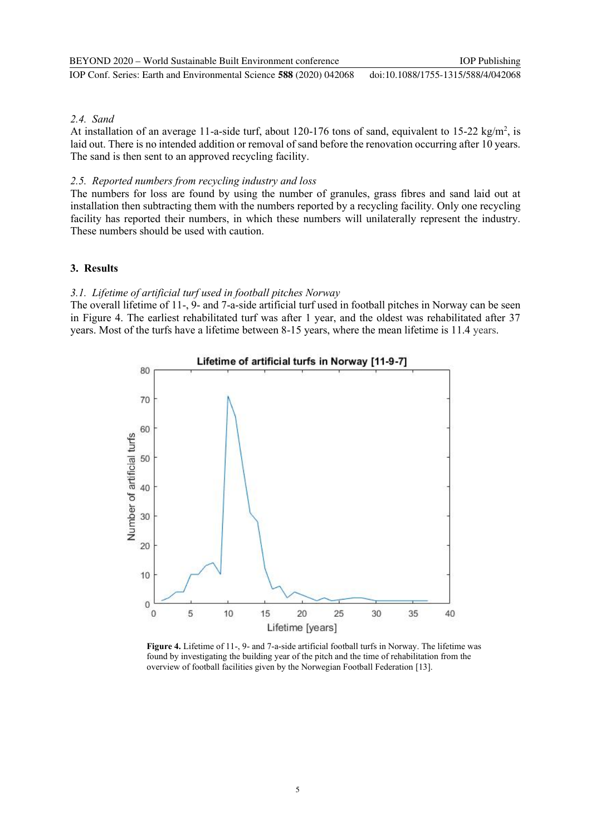## *2.4. Sand*

At installation of an average 11-a-side turf, about 120-176 tons of sand, equivalent to 15-22 kg/m<sup>2</sup>, is laid out. There is no intended addition or removal of sand before the renovation occurring after 10 years. The sand is then sent to an approved recycling facility.

### *2.5. Reported numbers from recycling industry and loss*

The numbers for loss are found by using the number of granules, grass fibres and sand laid out at installation then subtracting them with the numbers reported by a recycling facility. Only one recycling facility has reported their numbers, in which these numbers will unilaterally represent the industry. These numbers should be used with caution.

### **3. Results**

### *3.1. Lifetime of artificial turf used in football pitches Norway*

The overall lifetime of 11-, 9- and 7-a-side artificial turf used in football pitches in Norway can be seen in [Figure 4.](#page-5-0) The earliest rehabilitated turf was after 1 year, and the oldest was rehabilitated after 37 years. Most of the turfs have a lifetime between 8-15 years, where the mean lifetime is 11.4 years.



<span id="page-5-0"></span>**Figure 4.** Lifetime of 11-, 9- and 7-a-side artificial football turfs in Norway. The lifetime was found by investigating the building year of the pitch and the time of rehabilitation from the overview of football facilities given by the Norwegian Football Federation [13].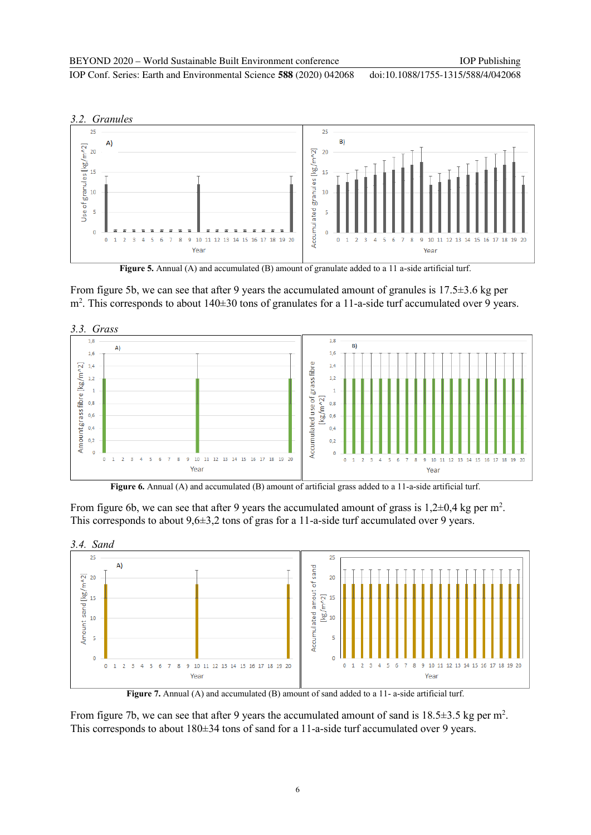doi:10.1088/1755-1315/588/4/042068

IOP Conf. Series: Earth and Environmental Science **588** (2020) 042068



Figure 5. Annual (A) and accumulated (B) amount of granulate added to a 11 a-side artificial turf.

From figure 5b, we can see that after 9 years the accumulated amount of granules is 17.5±3.6 kg per m<sup>2</sup> . This corresponds to about 140±30 tons of granulates for a 11-a-side turf accumulated over 9 years.



Figure 6. Annual (A) and accumulated (B) amount of artificial grass added to a 11-a-side artificial turf.

From figure 6b, we can see that after 9 years the accumulated amount of grass is  $1,2\pm 0,4$  kg per m<sup>2</sup>. This corresponds to about  $9.6\pm 3.2$  tons of gras for a 11-a-side turf accumulated over 9 years.



**Figure 7.** Annual (A) and accumulated (B) amount of sand added to a 11- a-side artificial turf.

From figure 7b, we can see that after 9 years the accumulated amount of sand is  $18.5 \pm 3.5$  kg per m<sup>2</sup>. This corresponds to about 180±34 tons of sand for a 11-a-side turf accumulated over 9 years.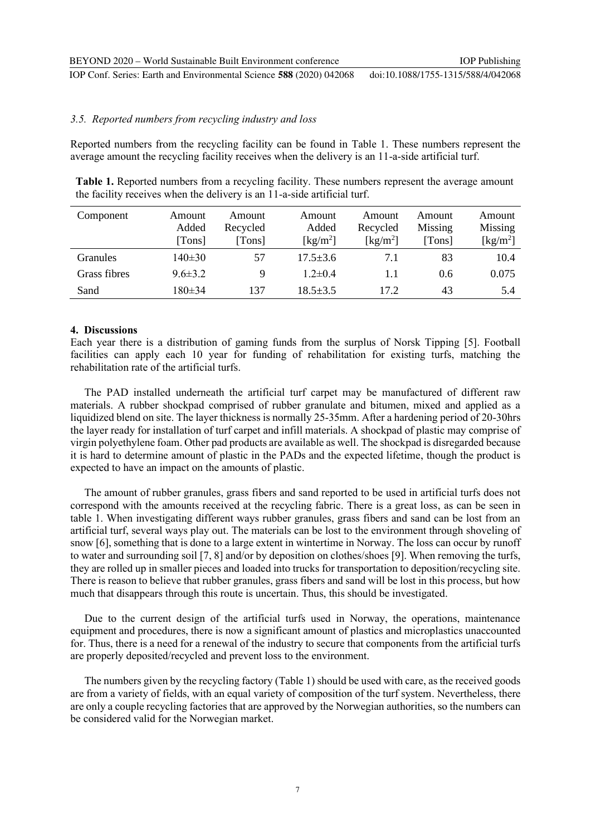IOP Conf. Series: Earth and Environmental Science **588** (2020) 042068 doi:10.1088/1755-1315/588/4/042068

#### *3.5. Reported numbers from recycling industry and loss*

Reported numbers from the recycling facility can be found in [Table 1.](#page-7-0) These numbers represent the average amount the recycling facility receives when the delivery is an 11-a-side artificial turf.

<span id="page-7-0"></span>

| Table 1. Reported numbers from a recycling facility. These numbers represent the average amount |
|-------------------------------------------------------------------------------------------------|
| the facility receives when the delivery is an 11-a-side artificial turf.                        |

| Component    | Amount<br>Added | Amount<br>Recycled | Amount<br>Added                | Amount<br>Recycled            | Amount<br>Missing | Amount<br>Missing              |
|--------------|-----------------|--------------------|--------------------------------|-------------------------------|-------------------|--------------------------------|
|              | [Tons]          | [Tons]             | $\left[\mathrm{kg/m^2}\right]$ | $\lceil \text{kg/m}^2 \rceil$ | [Tons]            | $\left[\mathrm{kg/m^2}\right]$ |
| Granules     | $140 \pm 30$    | 57                 | $17.5 \pm 3.6$                 | 7.1                           | 83                | 10.4                           |
| Grass fibres | $9.6 \pm 3.2$   | Q                  | $1.2 \pm 0.4$                  |                               | 0.6               | 0.075                          |
| Sand         | $180 \pm 34$    | 137                | $18.5 \pm 3.5$                 | 17.2                          | 43                | 5.4                            |

#### **4. Discussions**

Each year there is a distribution of gaming funds from the surplus of Norsk Tipping [5]. Football facilities can apply each 10 year for funding of rehabilitation for existing turfs, matching the rehabilitation rate of the artificial turfs.

The PAD installed underneath the artificial turf carpet may be manufactured of different raw materials. A rubber shockpad comprised of rubber granulate and bitumen, mixed and applied as a liquidized blend on site. The layer thickness is normally 25-35mm. After a hardening period of 20-30hrs the layer ready for installation of turf carpet and infill materials. A shockpad of plastic may comprise of virgin polyethylene foam. Other pad products are available as well. The shockpad is disregarded because it is hard to determine amount of plastic in the PADs and the expected lifetime, though the product is expected to have an impact on the amounts of plastic.

The amount of rubber granules, grass fibers and sand reported to be used in artificial turfs does not correspond with the amounts received at the recycling fabric. There is a great loss, as can be seen in table 1. When investigating different ways rubber granules, grass fibers and sand can be lost from an artificial turf, several ways play out. The materials can be lost to the environment through shoveling of snow [6], something that is done to a large extent in wintertime in Norway. The loss can occur by runoff to water and surrounding soil [7, 8] and/or by deposition on clothes/shoes [9]. When removing the turfs, they are rolled up in smaller pieces and loaded into trucks for transportation to deposition/recycling site. There is reason to believe that rubber granules, grass fibers and sand will be lost in this process, but how much that disappears through this route is uncertain. Thus, this should be investigated.

Due to the current design of the artificial turfs used in Norway, the operations, maintenance equipment and procedures, there is now a significant amount of plastics and microplastics unaccounted for. Thus, there is a need for a renewal of the industry to secure that components from the artificial turfs are properly deposited/recycled and prevent loss to the environment.

The numbers given by the recycling factory [\(Table 1\)](#page-7-0) should be used with care, as the received goods are from a variety of fields, with an equal variety of composition of the turf system. Nevertheless, there are only a couple recycling factories that are approved by the Norwegian authorities, so the numbers can be considered valid for the Norwegian market.